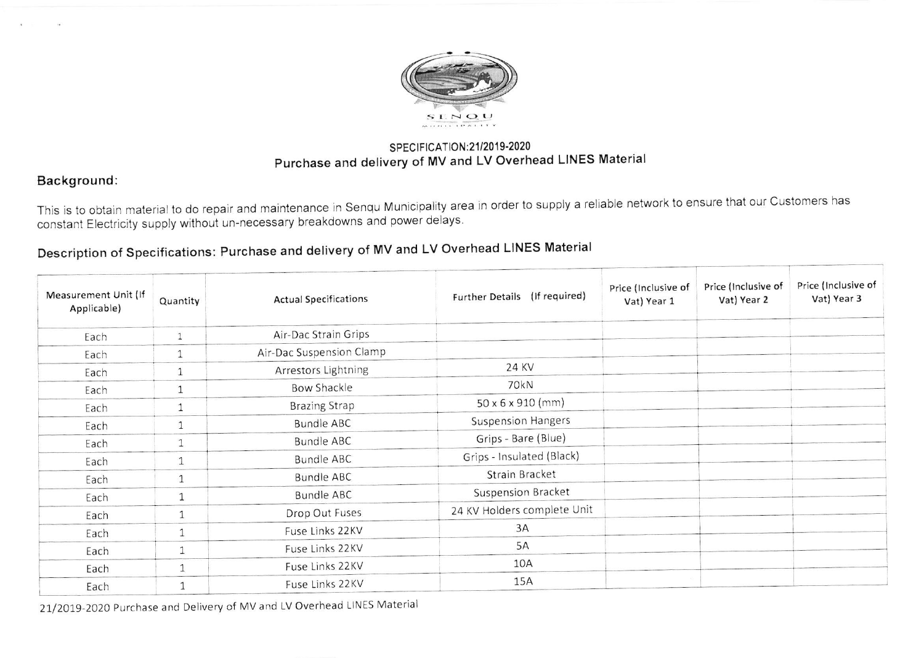

## SPECIFICATION: 21/2019-2020 Purchase and delivery of MV and LV Overhead LINES Material

## Background:

This is to obtain material to do repair and maintenance in senqu Municipality area in order to supply a reliable network to ensure that our customers has constant Electricity supply without un-necessary breakdowns and power delays.

## Description of Specifications: Purchase and delivery of MV and LV Overhead LINES Material

| Measurement Unit (If<br>Applicable) | Quantity     | <b>Actual Specifications</b> | Further Details (If required) | Price (Inclusive of<br>Vat) Year 1 | Price (Inclusive of<br>Vat) Year 2 | Price (Inclusive of<br>Vat) Year 3 |
|-------------------------------------|--------------|------------------------------|-------------------------------|------------------------------------|------------------------------------|------------------------------------|
| Each                                | $\mathbf{1}$ | Air-Dac Strain Grips         |                               |                                    |                                    |                                    |
| Each                                | $\mathbf{1}$ | Air-Dac Suspension Clamp     |                               |                                    |                                    |                                    |
| Each                                | $\mathbf{1}$ | Arrestors Lightning          | 24 KV                         |                                    |                                    |                                    |
| Each                                | $\mathbf{1}$ | <b>Bow Shackle</b>           | 70kN                          |                                    |                                    |                                    |
| Each                                | $\mathbf{1}$ | <b>Brazing Strap</b>         | 50 x 6 x 910 (mm)             |                                    |                                    |                                    |
| Each                                | $\mathbf{1}$ | <b>Bundle ABC</b>            | <b>Suspension Hangers</b>     |                                    |                                    |                                    |
| Each                                | $\mathbf{1}$ | <b>Bundle ABC</b>            | Grips - Bare (Blue)           |                                    |                                    |                                    |
| Each                                | $\mathbf{1}$ | <b>Bundle ABC</b>            | Grips - Insulated (Black)     |                                    |                                    |                                    |
| Each                                | $\mathbf{1}$ | <b>Bundle ABC</b>            | Strain Bracket                |                                    |                                    |                                    |
| Each                                | $\mathbf{1}$ | <b>Bundle ABC</b>            | <b>Suspension Bracket</b>     |                                    |                                    |                                    |
| Each                                | 1            | Drop Out Fuses               | 24 KV Holders complete Unit   |                                    |                                    |                                    |
| Each                                | $\mathbf{1}$ | Fuse Links 22KV              | 3A                            |                                    |                                    |                                    |
| Each                                | $\mathbf{1}$ | Fuse Links 22KV              | 5A                            |                                    |                                    |                                    |
| Each                                | $\mathbf{1}$ | Fuse Links 22KV              | 10A                           |                                    |                                    |                                    |
| Each                                | $\mathbf{1}$ | Fuse Links 22KV              | 15A                           |                                    |                                    |                                    |

21/2019-2020 Purchase and Delivery of MV and LV Overhead LINES Material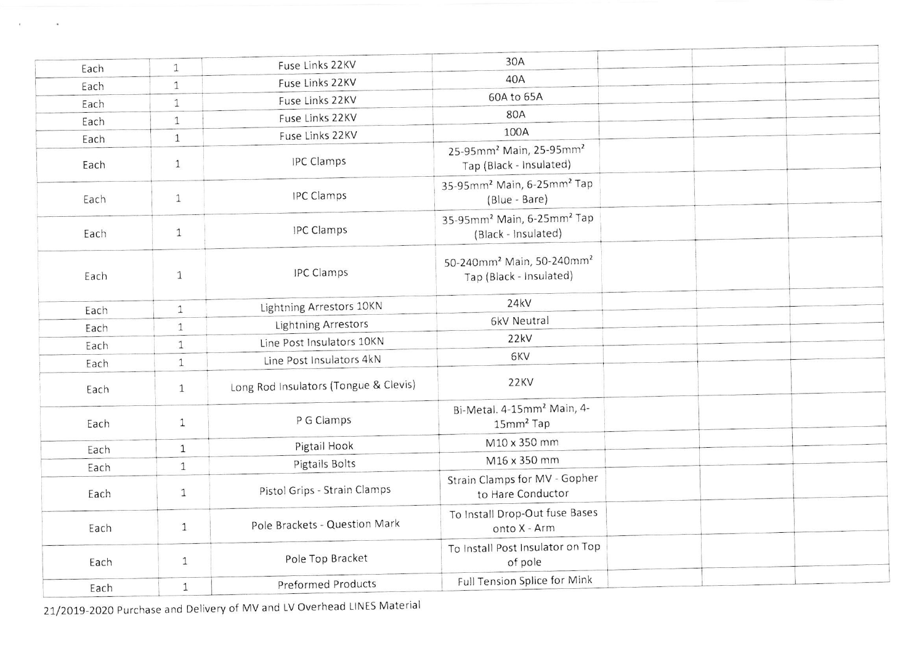| Each | $\mathbf{1}$ | Fuse Links 22KV                       | 30A                                                                          |  |
|------|--------------|---------------------------------------|------------------------------------------------------------------------------|--|
| Each | $\mathbf{1}$ | Fuse Links 22KV                       | 40A                                                                          |  |
| Each | $\mathbf{1}$ | Fuse Links 22KV                       | 60A to 65A                                                                   |  |
| Each | $\mathbf{1}$ | Fuse Links 22KV                       | 80A                                                                          |  |
| Each | $1\,$        | Fuse Links 22KV                       | 100A                                                                         |  |
| Each | $\mathbf{1}$ | <b>IPC Clamps</b>                     | 25-95mm <sup>2</sup> Main, 25-95mm <sup>2</sup><br>Tap (Black - Insulated)   |  |
| Each | $\mathbf{1}$ | <b>IPC Clamps</b>                     | 35-95mm <sup>2</sup> Main, 6-25mm <sup>2</sup> Tap<br>(Blue - Bare)          |  |
| Each | $\mathbf{1}$ | <b>IPC Clamps</b>                     | 35-95mm <sup>2</sup> Main, 6-25mm <sup>2</sup> Tap<br>(Black - Insulated)    |  |
| Each | $\mathbf{1}$ | <b>IPC Clamps</b>                     | 50-240mm <sup>2</sup> Main, 50-240mm <sup>2</sup><br>Tap (Black - Insulated) |  |
| Each | $\mathbf{1}$ | Lightning Arrestors 10KN              | 24kV                                                                         |  |
| Each | $\mathbf{1}$ | Lightning Arrestors                   | 6kV Neutral                                                                  |  |
| Each | $\mathbf{1}$ | Line Post Insulators 10KN             | 22kV                                                                         |  |
| Each | $\mathbf{1}$ | Line Post Insulators 4kN              | 6KV                                                                          |  |
| Each | $\mathbf{1}$ | Long Rod Insulators (Tongue & Clevis) | 22KV                                                                         |  |
| Each | $\mathbf{1}$ | P G Clamps                            | Bi-Metal. 4-15mm <sup>2</sup> Main, 4-<br>15mm <sup>2</sup> Tap              |  |
| Each | $\mathbf{1}$ | Pigtail Hook                          | M10 x 350 mm                                                                 |  |
| Each | $\mathbf{1}$ | Pigtails Bolts                        | M16 x 350 mm                                                                 |  |
| Each | $\mathbf{1}$ | Pistol Grips - Strain Clamps          | Strain Clamps for MV - Gopher<br>to Hare Conductor                           |  |
| Each | $\mathbf{1}$ | Pole Brackets - Question Mark         | To Install Drop-Out fuse Bases<br>onto X - Arm                               |  |
| Each | $\mathbf{1}$ | Pole Top Bracket                      | To Install Post Insulator on Top<br>of pole                                  |  |
| Each | $\mathbf{1}$ | <b>Preformed Products</b>             | Full Tension Splice for Mink                                                 |  |

21/2019-2020 Purchase and Delivery of MV and LV Overhead LINES Material